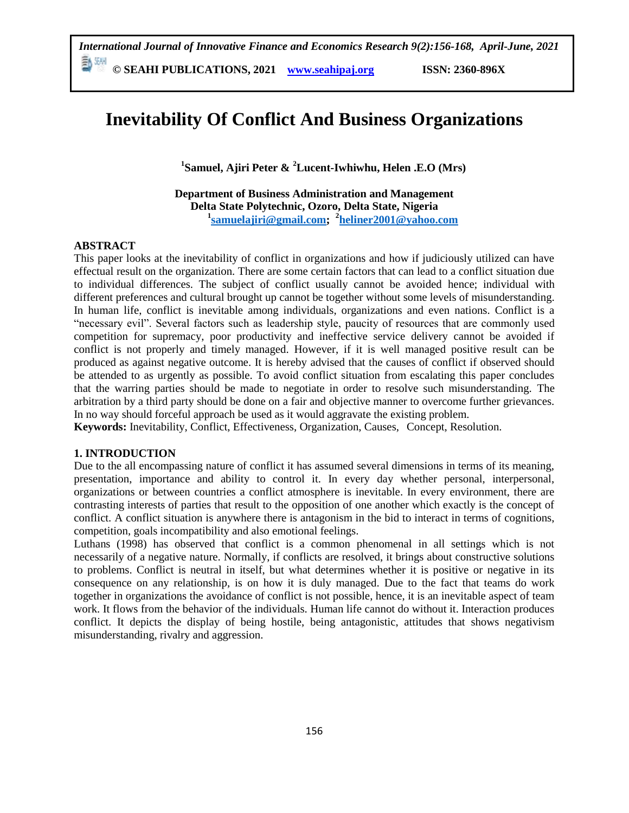# **Inevitability Of Conflict And Business Organizations**

**1 Samuel, Ajiri Peter & <sup>2</sup>Lucent-Iwhiwhu, Helen .E.O (Mrs)**

**Department of Business Administration and Management Delta State Polytechnic, Ozoro, Delta State, Nigeria 1 [samuelajiri@gmail.com;](mailto:samuelajiri@gmail.com) <sup>2</sup> [heliner2001@yahoo.com](mailto:heliner2001@yahoo.com)**

# **ABSTRACT**

This paper looks at the inevitability of conflict in organizations and how if judiciously utilized can have effectual result on the organization. There are some certain factors that can lead to a conflict situation due to individual differences. The subject of conflict usually cannot be avoided hence; individual with different preferences and cultural brought up cannot be together without some levels of misunderstanding. In human life, conflict is inevitable among individuals, organizations and even nations. Conflict is a "necessary evil". Several factors such as leadership style, paucity of resources that are commonly used competition for supremacy, poor productivity and ineffective service delivery cannot be avoided if conflict is not properly and timely managed. However, if it is well managed positive result can be produced as against negative outcome. It is hereby advised that the causes of conflict if observed should be attended to as urgently as possible. To avoid conflict situation from escalating this paper concludes that the warring parties should be made to negotiate in order to resolve such misunderstanding. The arbitration by a third party should be done on a fair and objective manner to overcome further grievances. In no way should forceful approach be used as it would aggravate the existing problem.

**Keywords:** Inevitability, Conflict, Effectiveness, Organization, Causes, Concept, Resolution.

# **1. INTRODUCTION**

Due to the all encompassing nature of conflict it has assumed several dimensions in terms of its meaning, presentation, importance and ability to control it. In every day whether personal, interpersonal, organizations or between countries a conflict atmosphere is inevitable. In every environment, there are contrasting interests of parties that result to the opposition of one another which exactly is the concept of conflict. A conflict situation is anywhere there is antagonism in the bid to interact in terms of cognitions, competition, goals incompatibility and also emotional feelings.

Luthans (1998) has observed that conflict is a common phenomenal in all settings which is not necessarily of a negative nature. Normally, if conflicts are resolved, it brings about constructive solutions to problems. Conflict is neutral in itself, but what determines whether it is positive or negative in its consequence on any relationship, is on how it is duly managed. Due to the fact that teams do work together in organizations the avoidance of conflict is not possible, hence, it is an inevitable aspect of team work. It flows from the behavior of the individuals. Human life cannot do without it. Interaction produces conflict. It depicts the display of being hostile, being antagonistic, attitudes that shows negativism misunderstanding, rivalry and aggression.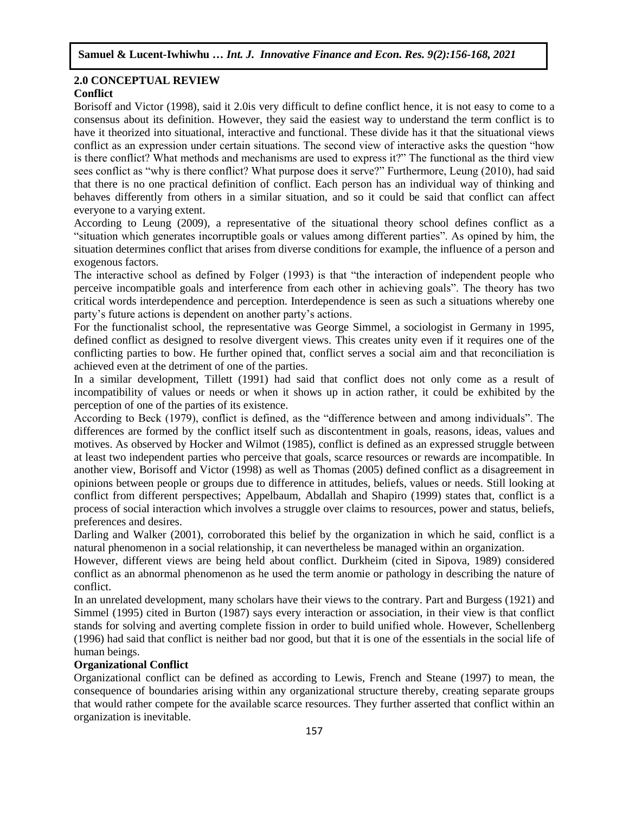#### **2.0 CONCEPTUAL REVIEW Conflict** Arugu  $\mathbb{R}$  Southern Soc. Sc.  $\mathbb{R}$  is strong soc. Sc.  $\mathbb{R}$  is strong soc. Sc. 8(1):1-11, 2020

Borisoff and Victor (1998), said it 2.0is very difficult to define conflict hence, it is not easy to come to a consensus about its definition. However, they said the easiest way to understand the term conflict is to have it theorized into situational, interactive and functional. These divide has it that the situational views conflict as an expression under certain situations. The second view of interactive asks the question "how is there conflict? What methods and mechanisms are used to express it?" The functional as the third view sees conflict as "why is there conflict? What purpose does it serve?" Furthermore, Leung (2010), had said that there is no one practical definition of conflict. Each person has an individual way of thinking and behaves differently from others in a similar situation, and so it could be said that conflict can affect everyone to a varying extent.

According to Leung (2009), a representative of the situational theory school defines conflict as a "situation which generates incorruptible goals or values among different parties". As opined by him, the situation determines conflict that arises from diverse conditions for example, the influence of a person and exogenous factors.

The interactive school as defined by Folger (1993) is that "the interaction of independent people who perceive incompatible goals and interference from each other in achieving goals". The theory has two critical words interdependence and perception. Interdependence is seen as such a situations whereby one party's future actions is dependent on another party's actions.

For the functionalist school, the representative was George Simmel, a sociologist in Germany in 1995, defined conflict as designed to resolve divergent views. This creates unity even if it requires one of the conflicting parties to bow. He further opined that, conflict serves a social aim and that reconciliation is achieved even at the detriment of one of the parties.

In a similar development, Tillett (1991) had said that conflict does not only come as a result of incompatibility of values or needs or when it shows up in action rather, it could be exhibited by the perception of one of the parties of its existence.

According to Beck (1979), conflict is defined, as the "difference between and among individuals". The differences are formed by the conflict itself such as discontentment in goals, reasons, ideas, values and motives. As observed by Hocker and Wilmot (1985), conflict is defined as an expressed struggle between at least two independent parties who perceive that goals, scarce resources or rewards are incompatible. In another view, Borisoff and Victor (1998) as well as Thomas (2005) defined conflict as a disagreement in opinions between people or groups due to difference in attitudes, beliefs, values or needs. Still looking at conflict from different perspectives; Appelbaum, Abdallah and Shapiro (1999) states that, conflict is a process of social interaction which involves a struggle over claims to resources, power and status, beliefs, preferences and desires.

Darling and Walker (2001), corroborated this belief by the organization in which he said, conflict is a natural phenomenon in a social relationship, it can nevertheless be managed within an organization.

However, different views are being held about conflict. Durkheim (cited in Sipova, 1989) considered conflict as an abnormal phenomenon as he used the term anomie or pathology in describing the nature of conflict.

In an unrelated development, many scholars have their views to the contrary. Part and Burgess (1921) and Simmel (1995) cited in Burton (1987) says every interaction or association, in their view is that conflict stands for solving and averting complete fission in order to build unified whole. However, Schellenberg (1996) had said that conflict is neither bad nor good, but that it is one of the essentials in the social life of human beings.

# **Organizational Conflict**

Organizational conflict can be defined as according to Lewis, French and Steane (1997) to mean, the consequence of boundaries arising within any organizational structure thereby, creating separate groups that would rather compete for the available scarce resources. They further asserted that conflict within an organization is inevitable.